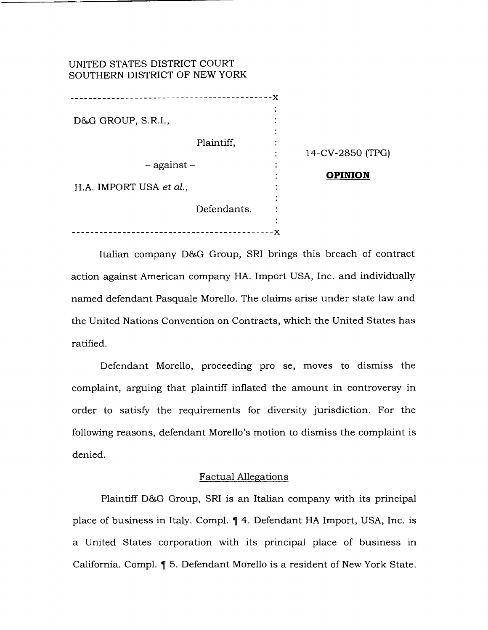# UNITED STATES DISTRICT COURT SOUTHERN DISTRICT OF NEW YORK

|                         | ----------  | --x |                  |
|-------------------------|-------------|-----|------------------|
| D&G GROUP, S.R.I.,      |             |     |                  |
|                         | Plaintiff,  |     | 14-CV-2850 (TPG) |
| $-$ against $-$         |             |     | <b>OPINION</b>   |
| H.A. IMPORT USA et al., |             |     |                  |
|                         | Defendants. |     |                  |
|                         |             | х   |                  |

 $D_{\rm eff}$  Group, S.R.I. v. H.A. Import USA et al. Import USA et al. Import USA et al. Import USA et al. 16

Italian company D&G Group, SRI brings this breach of contract action against American company HA. Import USA, Inc. and individually named defendant Pasquale Morello. The claims arise under state law and the United Nations Convention on Contracts, which the United States has ratified.

Defendant Morello, proceeding pro se, moves to dismiss the complaint, arguing that plaintiff inflated the amount in controversy in order to satisfy the requirements for diversity jurisdiction. For the following reasons, defendant Morello's motion to dismiss the complaint is denied.

### Factual Allegations

Plaintiff D&G Group, SRI is an Italian company with its principal place of business in Italy. Compl.  $\parallel$  4. Defendant HA Import, USA, Inc. is a United States corporation with its principal place of business in California. Compl.  $\P$  5. Defendant Morello is a resident of New York State.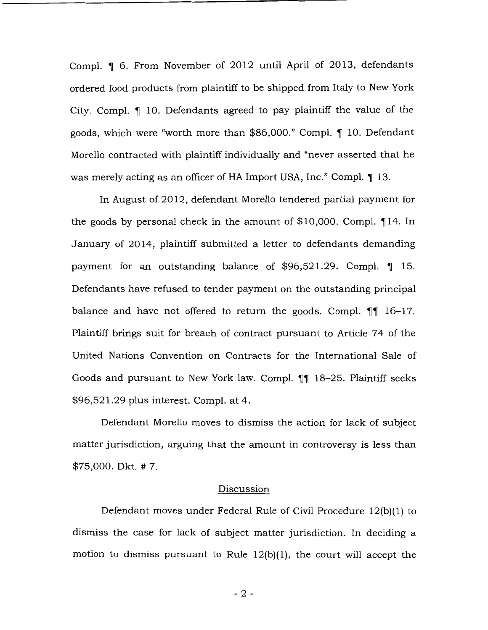Compl.  $\llbracket$  6. From November of 2012 until April of 2013, defendants ordered food products from plaintiff to be shipped from Italy to New York City. Compl.  $\P$  10. Defendants agreed to pay plaintiff the value of the goods, which were "worth more than  $$86,000."$  Compl.  $\P$  10. Defendant Morello contracted with plaintiff individually and "never asserted that he was merely acting as an officer of HA Import USA, Inc." Compl.  $\P$  13.

In August of 2012, defendant Morello tendered partial payment for the goods by personal check in the amount of  $$10,000$ . Compl.  $\P$ 14. In January of 2014, plaintiff submitted a letter to defendants demanding payment for an outstanding balance of \$96,521.29. Compl.  $\llbracket$  15. Defendants have refused to tender payment on the outstanding principal balance and have not offered to return the goods. Compl.  $\P\P$  16-17. Plaintiff brings suit for breach of contract pursuant to Article 74 of the United Nations Convention on Contracts for the International Sale of Goods and pursuant to New York law. Compl.  $\P$  18-25. Plaintiff seeks \$96,521.29 plus interest. Compl. at 4.

Defendant Morello moves to dismiss the action for lack of subject matter jurisdiction, arguing that the amount in controversy is less than \$75,000. Dkt. # 7.

### Discussion

Defendant moves under Federal Rule of Civil Procedure 12(b)(1) to dismiss the case for lack of subject matter jurisdiction. In deciding a motion to dismiss pursuant to Rule 12(b)(1), the court will accept the

- 2 -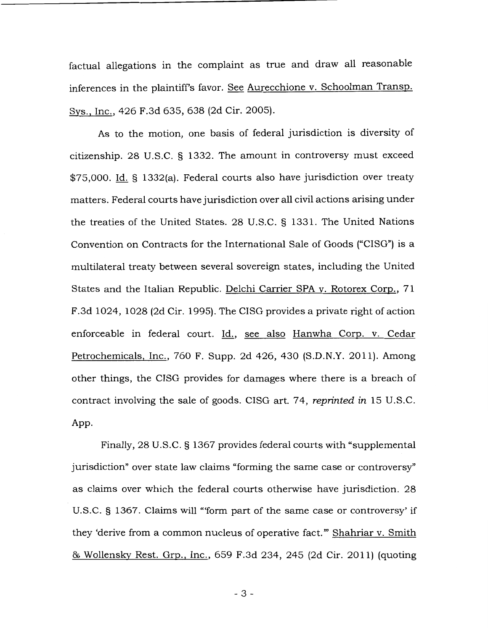factual allegations in the complaint as true and draw all reasonable inferences in the plaintiff's favor. See Aurecchione v. Schoolman Transp. Sys., Inc., 426 F.3d 635, 638 (2d Cir. 2005).

As to the motion, one basis of federal jurisdiction is diversity of citizenship. 28 U.S.C. § 1332. The amount in controversy must exceed \$75,000. Id. § 1332(a). Federal courts also have jurisdiction over treaty matters. Federal courts have jurisdiction over all civil actions arising under the treaties of the United States. 28 U.S.C. § 1331. The United Nations Convention on Contracts for the International Sale of Goods ("CISG") is a multilateral treaty between several sovereign states, including the United States and the Italian Republic. Delchi Carrier SPA v. Rotorex Corp., 71 F.3d 1024, 1028 (2d Cir. 1995). The CISG provides a private right of action enforceable in federal court. Id., see also Hanwha Corp. v. Cedar Petrochemicals, Inc., 760 F. Supp. 2d 426, 430 (S.D.N.Y. 2011). Among other things, the CISG provides for damages where there is a breach of contract involving the sale of goods. CISG art. 74, *reprinted in* 15 U.S.C. App.

Finally, 28 U.S.C. § 1367 provides federal courts with "supplemental jurisdiction" over state law claims "forming the same case or controversy" as claims over which the federal courts otherwise have jurisdiction. 28 U.S.C. § 1367. Claims will "'form part of the same case or controversy' if they 'derive from a common nucleus of operative fact."' Shahriar v. Smith & Wollensky Rest. Grp., Inc., 659 F.3d 234, 245 (2d Cir. 2011) (quoting

- 3 -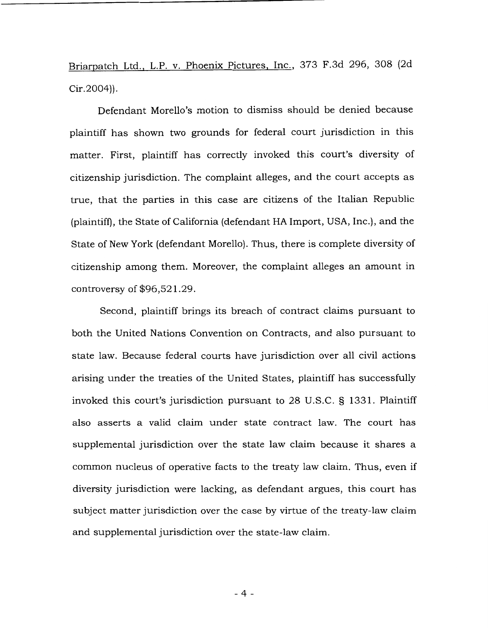Briarpatch Ltd., L.P. v. Phoenix Pictures, Inc., 373 F.3d 296, 308 (2d Cir.2004)).

Defendant Morello's motion to dismiss should be denied because plaintiff has shown two grounds for federal court jurisdiction in this matter. First, plaintiff has correctly invoked this court's diversity of citizenship jurisdiction. The complaint alleges, and the court accepts as true, that the parties in this case are citizens of the Italian Republic (plaintiff), the State of California (defendant HA Import, USA, Inc.), and the State of New York (defendant Morello). Thus, there is complete diversity of citizenship among them. Moreover, the complaint alleges an amount in controversy of \$96,521.29.

Second, plaintiff brings its breach of contract claims pursuant to both the United Nations Convention on Contracts, and also pursuant to state law. Because federal courts have jurisdiction over all civil actions arising under the treaties of the United States, plaintiff has successfully invoked this court's jurisdiction pursuant to 28 U.S.C. § 1331. Plaintiff also asserts a valid claim under state contract law. The court has supplemental jurisdiction over the state law claim because it shares a common nucleus of operative facts to the treaty law claim. Thus, even if diversity jurisdiction were lacking, as defendant argues, this court has subject matter jurisdiction over the case by virtue of the treaty-law claim and supplemental jurisdiction over the state-law claim.